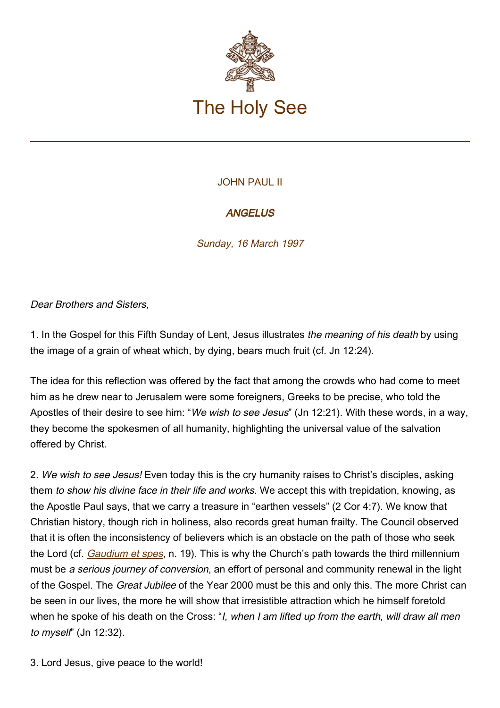

## JOHN PAUL II

## **ANGELUS**

Sunday, 16 March 1997

Dear Brothers and Sisters,

1. In the Gospel for this Fifth Sunday of Lent, Jesus illustrates the meaning of his death by using the image of a grain of wheat which, by dying, bears much fruit (cf. Jn 12:24).

The idea for this reflection was offered by the fact that among the crowds who had come to meet him as he drew near to Jerusalem were some foreigners, Greeks to be precise, who told the Apostles of their desire to see him: "We wish to see Jesus" (Jn 12:21). With these words, in a way, they become the spokesmen of all humanity, highlighting the universal value of the salvation offered by Christ.

2. We wish to see Jesus! Even today this is the cry humanity raises to Christ's disciples, asking them to show his divine face in their life and works. We accept this with trepidation, knowing, as the Apostle Paul says, that we carry a treasure in "earthen vessels" (2 Cor 4:7). We know that Christian history, though rich in holiness, also records great human frailty. The Council observed that it is often the inconsistency of believers which is an obstacle on the path of those who seek the Lord (cf. *Gaudium et spes*, n. 19). This is why the Church's path towards the third millennium must be a serious journey of conversion, an effort of personal and community renewal in the light of the Gospel. The Great Jubilee of the Year 2000 must be this and only this. The more Christ can be seen in our lives, the more he will show that irresistible attraction which he himself foretold when he spoke of his death on the Cross: "I, when I am lifted up from the earth, will draw all men to myself" (Jn 12:32).

3. Lord Jesus, give peace to the world!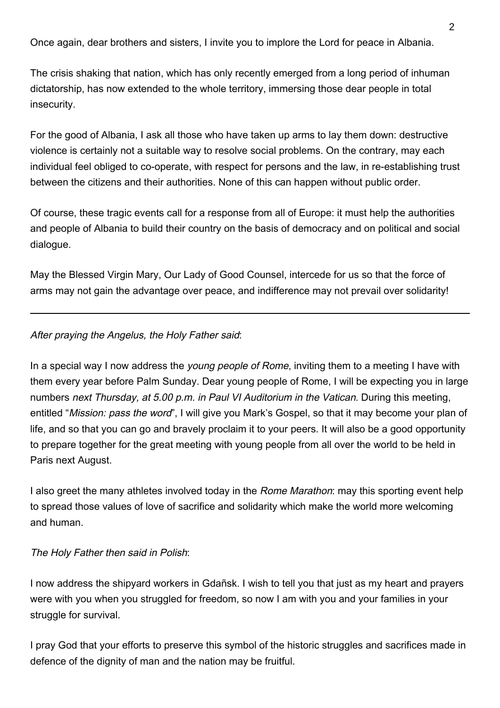Once again, dear brothers and sisters, I invite you to implore the Lord for peace in Albania.

The crisis shaking that nation, which has only recently emerged from a long period of inhuman dictatorship, has now extended to the whole territory, immersing those dear people in total insecurity.

For the good of Albania, I ask all those who have taken up arms to lay them down: destructive violence is certainly not a suitable way to resolve social problems. On the contrary, may each individual feel obliged to co-operate, with respect for persons and the law, in re-establishing trust between the citizens and their authorities. None of this can happen without public order.

Of course, these tragic events call for a response from all of Europe: it must help the authorities and people of Albania to build their country on the basis of democracy and on political and social dialogue.

May the Blessed Virgin Mary, Our Lady of Good Counsel, intercede for us so that the force of arms may not gain the advantage over peace, and indifference may not prevail over solidarity!

## After praying the Angelus, the Holy Father said:

In a special way I now address the *young people of Rome*, inviting them to a meeting I have with them every year before Palm Sunday. Dear young people of Rome, I will be expecting you in large numbers next Thursday, at 5.00 p.m. in Paul VI Auditorium in the Vatican. During this meeting, entitled "Mission: pass the word", I will give you Mark's Gospel, so that it may become your plan of life, and so that you can go and bravely proclaim it to your peers. It will also be a good opportunity to prepare together for the great meeting with young people from all over the world to be held in Paris next August.

I also greet the many athletes involved today in the Rome Marathon: may this sporting event help to spread those values of love of sacrifice and solidarity which make the world more welcoming and human.

## The Holy Father then said in Polish:

I now address the shipyard workers in Gdañsk. I wish to tell you that just as my heart and prayers were with you when you struggled for freedom, so now I am with you and your families in your struggle for survival.

I pray God that your efforts to preserve this symbol of the historic struggles and sacrifices made in defence of the dignity of man and the nation may be fruitful.